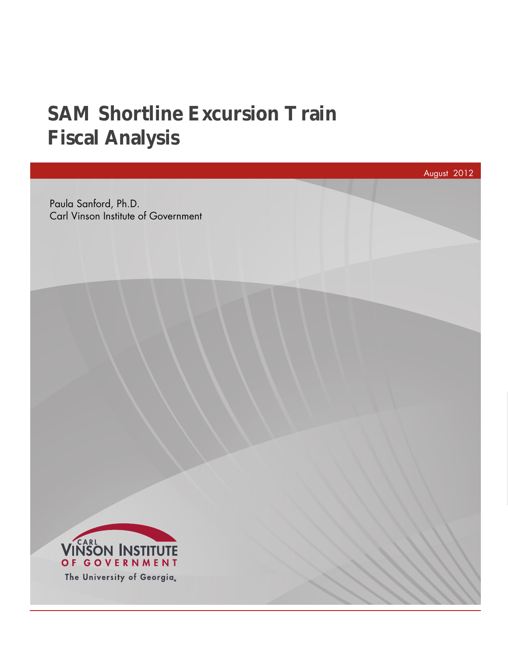# **SAM Shortline Excursion Train Fiscal Analysis**

August 2012

Paula Sanford, Ph.D. Carl Vinson Institute of Government

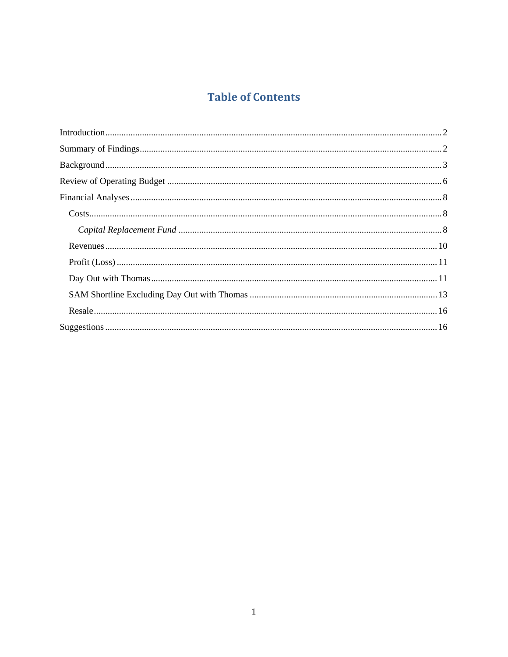# **Table of Contents**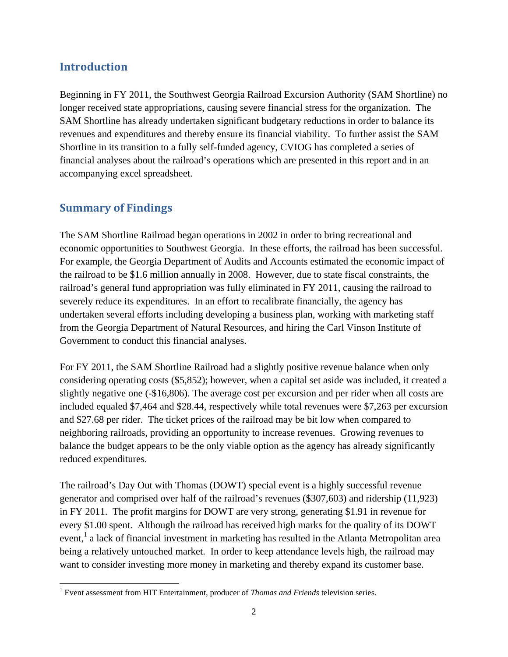# **Introduction**

Beginning in FY 2011, the Southwest Georgia Railroad Excursion Authority (SAM Shortline) no longer received state appropriations, causing severe financial stress for the organization. The SAM Shortline has already undertaken significant budgetary reductions in order to balance its revenues and expenditures and thereby ensure its financial viability. To further assist the SAM Shortline in its transition to a fully self-funded agency, CVIOG has completed a series of financial analyses about the railroad's operations which are presented in this report and in an accompanying excel spreadsheet.

# **Summary of Findings**

The SAM Shortline Railroad began operations in 2002 in order to bring recreational and economic opportunities to Southwest Georgia. In these efforts, the railroad has been successful. For example, the Georgia Department of Audits and Accounts estimated the economic impact of the railroad to be \$1.6 million annually in 2008. However, due to state fiscal constraints, the railroad's general fund appropriation was fully eliminated in FY 2011, causing the railroad to severely reduce its expenditures. In an effort to recalibrate financially, the agency has undertaken several efforts including developing a business plan, working with marketing staff from the Georgia Department of Natural Resources, and hiring the Carl Vinson Institute of Government to conduct this financial analyses.

For FY 2011, the SAM Shortline Railroad had a slightly positive revenue balance when only considering operating costs (\$5,852); however, when a capital set aside was included, it created a slightly negative one (-\$16,806). The average cost per excursion and per rider when all costs are included equaled \$7,464 and \$28.44, respectively while total revenues were \$7,263 per excursion and \$27.68 per rider. The ticket prices of the railroad may be bit low when compared to neighboring railroads, providing an opportunity to increase revenues. Growing revenues to balance the budget appears to be the only viable option as the agency has already significantly reduced expenditures.

The railroad's Day Out with Thomas (DOWT) special event is a highly successful revenue generator and comprised over half of the railroad's revenues (\$307,603) and ridership (11,923) in FY 2011. The profit margins for DOWT are very strong, generating \$1.91 in revenue for every \$1.00 spent. Although the railroad has received high marks for the quality of its DOWT event,<sup>1</sup> a lack of financial investment in marketing has resulted in the Atlanta Metropolitan area being a relatively untouched market. In order to keep attendance levels high, the railroad may want to consider investing more money in marketing and thereby expand its customer base.

 1 Event assessment from HIT Entertainment, producer of *Thomas and Friends* television series.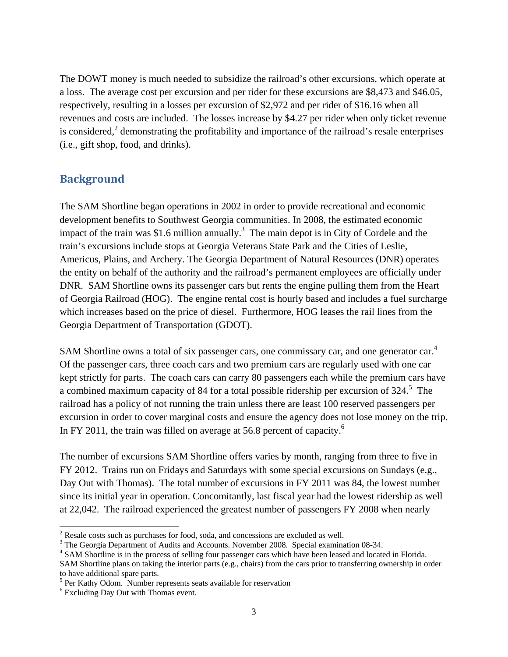The DOWT money is much needed to subsidize the railroad's other excursions, which operate at a loss. The average cost per excursion and per rider for these excursions are \$8,473 and \$46.05, respectively, resulting in a losses per excursion of \$2,972 and per rider of \$16.16 when all revenues and costs are included. The losses increase by \$4.27 per rider when only ticket revenue is considered,<sup>2</sup> demonstrating the profitability and importance of the railroad's resale enterprises (i.e., gift shop, food, and drinks).

# **Background**

The SAM Shortline began operations in 2002 in order to provide recreational and economic development benefits to Southwest Georgia communities. In 2008, the estimated economic impact of the train was \$1.6 million annually.<sup>3</sup> The main depot is in City of Cordele and the train's excursions include stops at Georgia Veterans State Park and the Cities of Leslie, Americus, Plains, and Archery. The Georgia Department of Natural Resources (DNR) operates the entity on behalf of the authority and the railroad's permanent employees are officially under DNR. SAM Shortline owns its passenger cars but rents the engine pulling them from the Heart of Georgia Railroad (HOG). The engine rental cost is hourly based and includes a fuel surcharge which increases based on the price of diesel. Furthermore, HOG leases the rail lines from the Georgia Department of Transportation (GDOT).

SAM Shortline owns a total of six passenger cars, one commissary car, and one generator car.<sup>4</sup> Of the passenger cars, three coach cars and two premium cars are regularly used with one car kept strictly for parts. The coach cars can carry 80 passengers each while the premium cars have a combined maximum capacity of 84 for a total possible ridership per excursion of  $324$ <sup>5</sup>. The railroad has a policy of not running the train unless there are least 100 reserved passengers per excursion in order to cover marginal costs and ensure the agency does not lose money on the trip. In FY 2011, the train was filled on average at 56.8 percent of capacity.<sup>6</sup>

The number of excursions SAM Shortline offers varies by month, ranging from three to five in FY 2012. Trains run on Fridays and Saturdays with some special excursions on Sundays (e.g., Day Out with Thomas). The total number of excursions in FY 2011 was 84, the lowest number since its initial year in operation. Concomitantly, last fiscal year had the lowest ridership as well at 22,042. The railroad experienced the greatest number of passengers FY 2008 when nearly

<sup>&</sup>lt;sup>2</sup> Resale costs such as purchases for food, soda, and concessions are excluded as well.  $3 \text{ The Georci}$  Department of Audits and Agosunts, November 2008. Special examing

<sup>&</sup>lt;sup>3</sup> The Georgia Department of Audits and Accounts. November 2008. Special examination 08-34.

<sup>&</sup>lt;sup>4</sup> SAM Shortline is in the process of selling four passenger cars which have been leased and located in Florida. SAM Shortline plans on taking the interior parts (e.g., chairs) from the cars prior to transferring ownership in order to have additional spare parts.

<sup>&</sup>lt;sup>5</sup> Per Kathy Odom. Number represents seats available for reservation

<sup>6</sup> Excluding Day Out with Thomas event.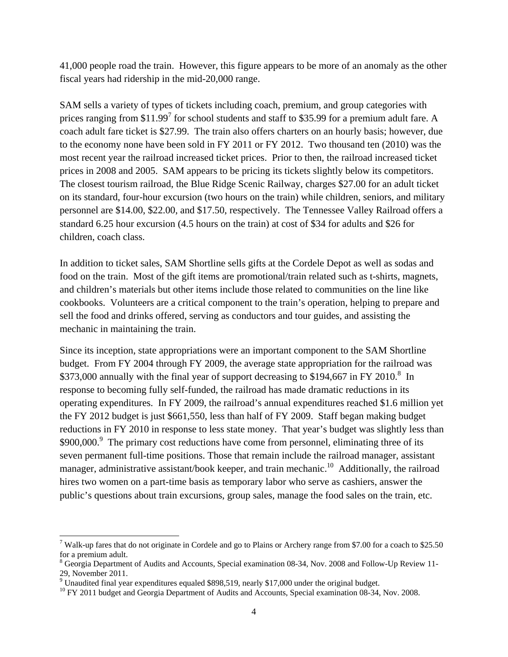41,000 people road the train. However, this figure appears to be more of an anomaly as the other fiscal years had ridership in the mid-20,000 range.

SAM sells a variety of types of tickets including coach, premium, and group categories with prices ranging from \$11.99<sup>7</sup> for school students and staff to \$35.99 for a premium adult fare. A coach adult fare ticket is \$27.99. The train also offers charters on an hourly basis; however, due to the economy none have been sold in FY 2011 or FY 2012. Two thousand ten (2010) was the most recent year the railroad increased ticket prices. Prior to then, the railroad increased ticket prices in 2008 and 2005. SAM appears to be pricing its tickets slightly below its competitors. The closest tourism railroad, the Blue Ridge Scenic Railway, charges \$27.00 for an adult ticket on its standard, four-hour excursion (two hours on the train) while children, seniors, and military personnel are \$14.00, \$22.00, and \$17.50, respectively. The Tennessee Valley Railroad offers a standard 6.25 hour excursion (4.5 hours on the train) at cost of \$34 for adults and \$26 for children, coach class.

In addition to ticket sales, SAM Shortline sells gifts at the Cordele Depot as well as sodas and food on the train. Most of the gift items are promotional/train related such as t-shirts, magnets, and children's materials but other items include those related to communities on the line like cookbooks. Volunteers are a critical component to the train's operation, helping to prepare and sell the food and drinks offered, serving as conductors and tour guides, and assisting the mechanic in maintaining the train.

Since its inception, state appropriations were an important component to the SAM Shortline budget. From FY 2004 through FY 2009, the average state appropriation for the railroad was  $$373,000$  annually with the final year of support decreasing to \$194,667 in FY 2010.<sup>8</sup> In response to becoming fully self-funded, the railroad has made dramatic reductions in its operating expenditures. In FY 2009, the railroad's annual expenditures reached \$1.6 million yet the FY 2012 budget is just \$661,550, less than half of FY 2009. Staff began making budget reductions in FY 2010 in response to less state money. That year's budget was slightly less than \$900,000.<sup>9</sup> The primary cost reductions have come from personnel, eliminating three of its seven permanent full-time positions. Those that remain include the railroad manager, assistant manager, administrative assistant/book keeper, and train mechanic.<sup>10</sup> Additionally, the railroad hires two women on a part-time basis as temporary labor who serve as cashiers, answer the public's questions about train excursions, group sales, manage the food sales on the train, etc.

<sup>&</sup>lt;sup>7</sup> Walk-up fares that do not originate in Cordele and go to Plains or Archery range from \$7.00 for a coach to \$25.50 for a premium adult.

<sup>&</sup>lt;sup>8</sup> Georgia Department of Audits and Accounts, Special examination 08-34, Nov. 2008 and Follow-Up Review 11-29, November 2011.

<sup>&</sup>lt;sup>9</sup> Unaudited final year expenditures equaled \$898,519, nearly \$17,000 under the original budget.

<sup>&</sup>lt;sup>10</sup> FY 2011 budget and Georgia Department of Audits and Accounts, Special examination 08-34, Nov. 2008.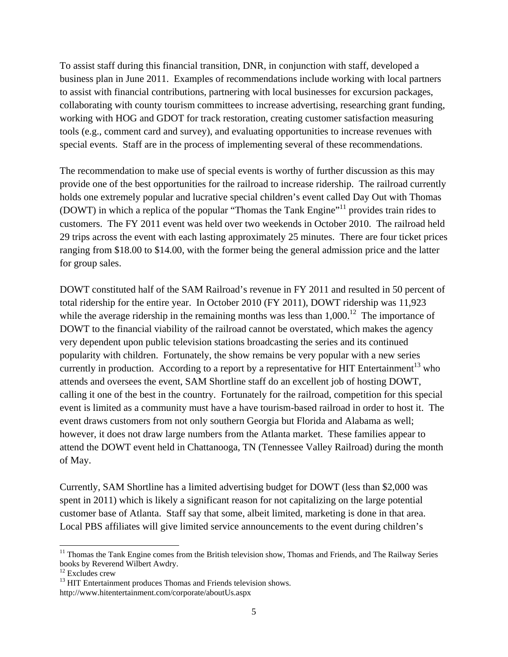To assist staff during this financial transition, DNR, in conjunction with staff, developed a business plan in June 2011. Examples of recommendations include working with local partners to assist with financial contributions, partnering with local businesses for excursion packages, collaborating with county tourism committees to increase advertising, researching grant funding, working with HOG and GDOT for track restoration, creating customer satisfaction measuring tools (e.g., comment card and survey), and evaluating opportunities to increase revenues with special events. Staff are in the process of implementing several of these recommendations.

The recommendation to make use of special events is worthy of further discussion as this may provide one of the best opportunities for the railroad to increase ridership. The railroad currently holds one extremely popular and lucrative special children's event called Day Out with Thomas (DOWT) in which a replica of the popular "Thomas the Tank Engine"11 provides train rides to customers. The FY 2011 event was held over two weekends in October 2010. The railroad held 29 trips across the event with each lasting approximately 25 minutes. There are four ticket prices ranging from \$18.00 to \$14.00, with the former being the general admission price and the latter for group sales.

DOWT constituted half of the SAM Railroad's revenue in FY 2011 and resulted in 50 percent of total ridership for the entire year. In October 2010 (FY 2011), DOWT ridership was 11,923 while the average ridership in the remaining months was less than  $1.000<sup>12</sup>$  The importance of DOWT to the financial viability of the railroad cannot be overstated, which makes the agency very dependent upon public television stations broadcasting the series and its continued popularity with children. Fortunately, the show remains be very popular with a new series currently in production. According to a report by a representative for HIT Entertainment<sup>13</sup> who attends and oversees the event, SAM Shortline staff do an excellent job of hosting DOWT, calling it one of the best in the country. Fortunately for the railroad, competition for this special event is limited as a community must have a have tourism-based railroad in order to host it. The event draws customers from not only southern Georgia but Florida and Alabama as well; however, it does not draw large numbers from the Atlanta market. These families appear to attend the DOWT event held in Chattanooga, TN (Tennessee Valley Railroad) during the month of May.

Currently, SAM Shortline has a limited advertising budget for DOWT (less than \$2,000 was spent in 2011) which is likely a significant reason for not capitalizing on the large potential customer base of Atlanta. Staff say that some, albeit limited, marketing is done in that area. Local PBS affiliates will give limited service announcements to the event during children's

<sup>&</sup>lt;sup>11</sup> Thomas the Tank Engine comes from the British television show, Thomas and Friends, and The Railway Series books by Reverend Wilbert Awdry.

 $12$  Excludes crew

<sup>&</sup>lt;sup>13</sup> HIT Entertainment produces Thomas and Friends television shows. http://www.hitentertainment.com/corporate/aboutUs.aspx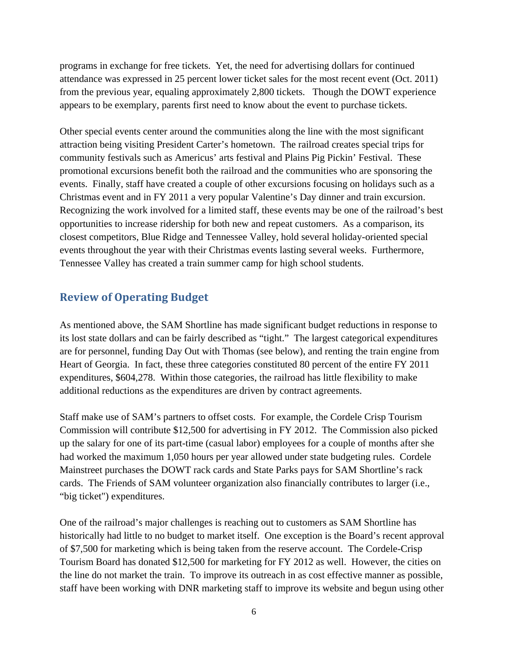programs in exchange for free tickets. Yet, the need for advertising dollars for continued attendance was expressed in 25 percent lower ticket sales for the most recent event (Oct. 2011) from the previous year, equaling approximately 2,800 tickets. Though the DOWT experience appears to be exemplary, parents first need to know about the event to purchase tickets.

Other special events center around the communities along the line with the most significant attraction being visiting President Carter's hometown. The railroad creates special trips for community festivals such as Americus' arts festival and Plains Pig Pickin' Festival. These promotional excursions benefit both the railroad and the communities who are sponsoring the events. Finally, staff have created a couple of other excursions focusing on holidays such as a Christmas event and in FY 2011 a very popular Valentine's Day dinner and train excursion. Recognizing the work involved for a limited staff, these events may be one of the railroad's best opportunities to increase ridership for both new and repeat customers. As a comparison, its closest competitors, Blue Ridge and Tennessee Valley, hold several holiday-oriented special events throughout the year with their Christmas events lasting several weeks. Furthermore, Tennessee Valley has created a train summer camp for high school students.

# **Review of Operating Budget**

As mentioned above, the SAM Shortline has made significant budget reductions in response to its lost state dollars and can be fairly described as "tight." The largest categorical expenditures are for personnel, funding Day Out with Thomas (see below), and renting the train engine from Heart of Georgia. In fact, these three categories constituted 80 percent of the entire FY 2011 expenditures, \$604,278. Within those categories, the railroad has little flexibility to make additional reductions as the expenditures are driven by contract agreements.

Staff make use of SAM's partners to offset costs. For example, the Cordele Crisp Tourism Commission will contribute \$12,500 for advertising in FY 2012. The Commission also picked up the salary for one of its part-time (casual labor) employees for a couple of months after she had worked the maximum 1,050 hours per year allowed under state budgeting rules. Cordele Mainstreet purchases the DOWT rack cards and State Parks pays for SAM Shortline's rack cards. The Friends of SAM volunteer organization also financially contributes to larger (i.e., "big ticket") expenditures.

One of the railroad's major challenges is reaching out to customers as SAM Shortline has historically had little to no budget to market itself. One exception is the Board's recent approval of \$7,500 for marketing which is being taken from the reserve account. The Cordele-Crisp Tourism Board has donated \$12,500 for marketing for FY 2012 as well. However, the cities on the line do not market the train. To improve its outreach in as cost effective manner as possible, staff have been working with DNR marketing staff to improve its website and begun using other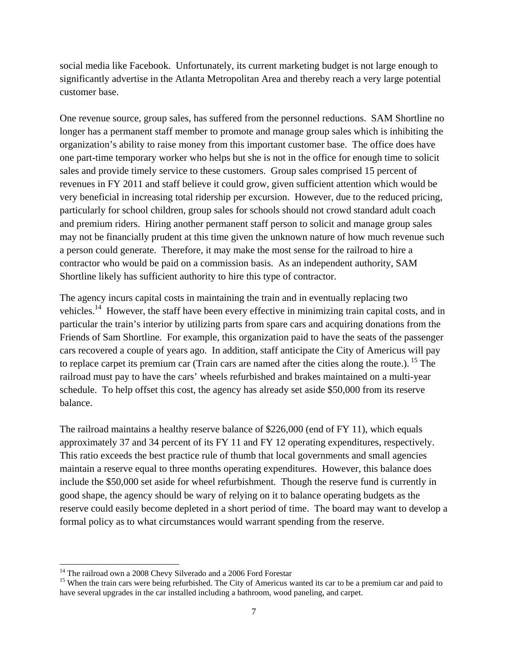social media like Facebook. Unfortunately, its current marketing budget is not large enough to significantly advertise in the Atlanta Metropolitan Area and thereby reach a very large potential customer base.

One revenue source, group sales, has suffered from the personnel reductions. SAM Shortline no longer has a permanent staff member to promote and manage group sales which is inhibiting the organization's ability to raise money from this important customer base. The office does have one part-time temporary worker who helps but she is not in the office for enough time to solicit sales and provide timely service to these customers. Group sales comprised 15 percent of revenues in FY 2011 and staff believe it could grow, given sufficient attention which would be very beneficial in increasing total ridership per excursion. However, due to the reduced pricing, particularly for school children, group sales for schools should not crowd standard adult coach and premium riders. Hiring another permanent staff person to solicit and manage group sales may not be financially prudent at this time given the unknown nature of how much revenue such a person could generate. Therefore, it may make the most sense for the railroad to hire a contractor who would be paid on a commission basis. As an independent authority, SAM Shortline likely has sufficient authority to hire this type of contractor.

The agency incurs capital costs in maintaining the train and in eventually replacing two vehicles.<sup>14</sup> However, the staff have been every effective in minimizing train capital costs, and in particular the train's interior by utilizing parts from spare cars and acquiring donations from the Friends of Sam Shortline. For example, this organization paid to have the seats of the passenger cars recovered a couple of years ago. In addition, staff anticipate the City of Americus will pay to replace carpet its premium car (Train cars are named after the cities along the route.). <sup>15</sup> The railroad must pay to have the cars' wheels refurbished and brakes maintained on a multi-year schedule. To help offset this cost, the agency has already set aside \$50,000 from its reserve balance.

The railroad maintains a healthy reserve balance of \$226,000 (end of FY 11), which equals approximately 37 and 34 percent of its FY 11 and FY 12 operating expenditures, respectively. This ratio exceeds the best practice rule of thumb that local governments and small agencies maintain a reserve equal to three months operating expenditures. However, this balance does include the \$50,000 set aside for wheel refurbishment. Though the reserve fund is currently in good shape, the agency should be wary of relying on it to balance operating budgets as the reserve could easily become depleted in a short period of time. The board may want to develop a formal policy as to what circumstances would warrant spending from the reserve.

<sup>&</sup>lt;sup>14</sup> The railroad own a 2008 Chevy Silverado and a 2006 Ford Forestar

<sup>&</sup>lt;sup>15</sup> When the train cars were being refurbished. The City of Americus wanted its car to be a premium car and paid to have several upgrades in the car installed including a bathroom, wood paneling, and carpet.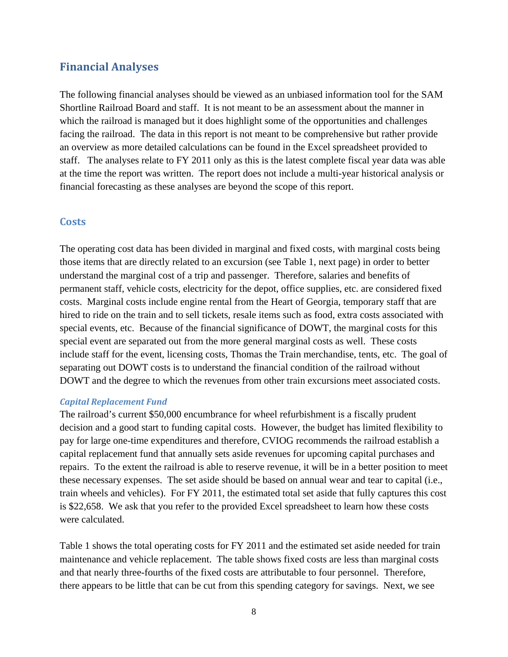## **Financial Analyses**

The following financial analyses should be viewed as an unbiased information tool for the SAM Shortline Railroad Board and staff. It is not meant to be an assessment about the manner in which the railroad is managed but it does highlight some of the opportunities and challenges facing the railroad. The data in this report is not meant to be comprehensive but rather provide an overview as more detailed calculations can be found in the Excel spreadsheet provided to staff. The analyses relate to FY 2011 only as this is the latest complete fiscal year data was able at the time the report was written. The report does not include a multi-year historical analysis or financial forecasting as these analyses are beyond the scope of this report.

#### **Costs**

The operating cost data has been divided in marginal and fixed costs, with marginal costs being those items that are directly related to an excursion (see Table 1, next page) in order to better understand the marginal cost of a trip and passenger. Therefore, salaries and benefits of permanent staff, vehicle costs, electricity for the depot, office supplies, etc. are considered fixed costs. Marginal costs include engine rental from the Heart of Georgia, temporary staff that are hired to ride on the train and to sell tickets, resale items such as food, extra costs associated with special events, etc. Because of the financial significance of DOWT, the marginal costs for this special event are separated out from the more general marginal costs as well. These costs include staff for the event, licensing costs, Thomas the Train merchandise, tents, etc. The goal of separating out DOWT costs is to understand the financial condition of the railroad without DOWT and the degree to which the revenues from other train excursions meet associated costs.

#### *Capital Replacement Fund*

The railroad's current \$50,000 encumbrance for wheel refurbishment is a fiscally prudent decision and a good start to funding capital costs. However, the budget has limited flexibility to pay for large one-time expenditures and therefore, CVIOG recommends the railroad establish a capital replacement fund that annually sets aside revenues for upcoming capital purchases and repairs. To the extent the railroad is able to reserve revenue, it will be in a better position to meet these necessary expenses. The set aside should be based on annual wear and tear to capital (i.e., train wheels and vehicles). For FY 2011, the estimated total set aside that fully captures this cost is \$22,658. We ask that you refer to the provided Excel spreadsheet to learn how these costs were calculated.

Table 1 shows the total operating costs for FY 2011 and the estimated set aside needed for train maintenance and vehicle replacement. The table shows fixed costs are less than marginal costs and that nearly three-fourths of the fixed costs are attributable to four personnel. Therefore, there appears to be little that can be cut from this spending category for savings. Next, we see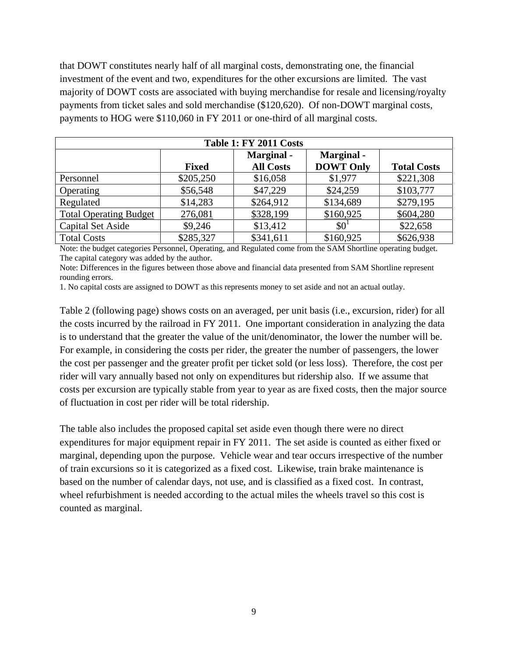that DOWT constitutes nearly half of all marginal costs, demonstrating one, the financial investment of the event and two, expenditures for the other excursions are limited. The vast majority of DOWT costs are associated with buying merchandise for resale and licensing/royalty payments from ticket sales and sold merchandise (\$120,620). Of non-DOWT marginal costs, payments to HOG were \$110,060 in FY 2011 or one-third of all marginal costs.

| <b>Table 1: FY 2011 Costs</b> |              |                                       |                                       |                    |
|-------------------------------|--------------|---------------------------------------|---------------------------------------|--------------------|
|                               | <b>Fixed</b> | <b>Marginal</b> -<br><b>All Costs</b> | <b>Marginal</b> -<br><b>DOWT Only</b> | <b>Total Costs</b> |
| Personnel                     | \$205,250    | \$16,058                              | \$1,977                               | \$221,308          |
| Operating                     | \$56,548     | \$47,229                              | \$24,259                              | \$103,777          |
| Regulated                     | \$14,283     | \$264,912                             | \$134,689                             | \$279,195          |
| <b>Total Operating Budget</b> | 276,081      | \$328,199                             | \$160,925                             | \$604,280          |
| Capital Set Aside             | \$9,246      | \$13,412                              | \$0 <sup>1</sup>                      | \$22,658           |
| <b>Total Costs</b>            | \$285,327    | \$341,611                             | \$160,925                             | \$626,938          |

Note: the budget categories Personnel, Operating, and Regulated come from the SAM Shortline operating budget. The capital category was added by the author.

Note: Differences in the figures between those above and financial data presented from SAM Shortline represent rounding errors.

1. No capital costs are assigned to DOWT as this represents money to set aside and not an actual outlay.

Table 2 (following page) shows costs on an averaged, per unit basis (i.e., excursion, rider) for all the costs incurred by the railroad in FY 2011. One important consideration in analyzing the data is to understand that the greater the value of the unit/denominator, the lower the number will be. For example, in considering the costs per rider, the greater the number of passengers, the lower the cost per passenger and the greater profit per ticket sold (or less loss). Therefore, the cost per rider will vary annually based not only on expenditures but ridership also. If we assume that costs per excursion are typically stable from year to year as are fixed costs, then the major source of fluctuation in cost per rider will be total ridership.

The table also includes the proposed capital set aside even though there were no direct expenditures for major equipment repair in FY 2011. The set aside is counted as either fixed or marginal, depending upon the purpose. Vehicle wear and tear occurs irrespective of the number of train excursions so it is categorized as a fixed cost. Likewise, train brake maintenance is based on the number of calendar days, not use, and is classified as a fixed cost. In contrast, wheel refurbishment is needed according to the actual miles the wheels travel so this cost is counted as marginal.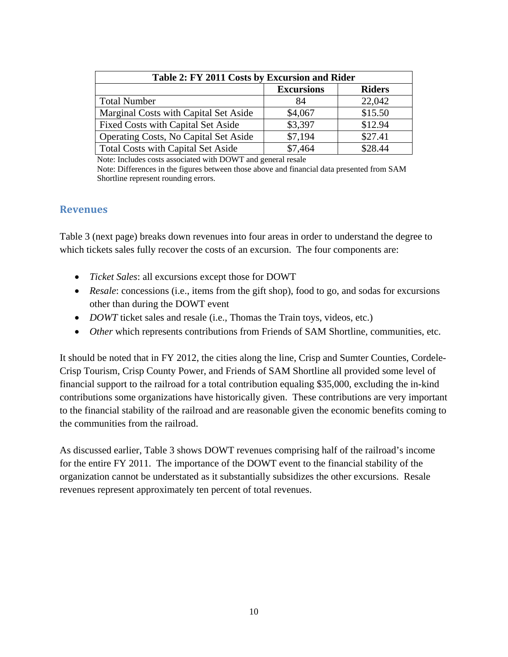| Table 2: FY 2011 Costs by Excursion and Rider |                   |               |  |
|-----------------------------------------------|-------------------|---------------|--|
|                                               | <b>Excursions</b> | <b>Riders</b> |  |
| <b>Total Number</b>                           | 84                | 22,042        |  |
| Marginal Costs with Capital Set Aside         | \$4,067           | \$15.50       |  |
| <b>Fixed Costs with Capital Set Aside</b>     | \$3,397           | \$12.94       |  |
| Operating Costs, No Capital Set Aside         | \$7,194           | \$27.41       |  |
| <b>Total Costs with Capital Set Aside</b>     | \$7,464           | \$28.44       |  |

Note: Includes costs associated with DOWT and general resale

Note: Differences in the figures between those above and financial data presented from SAM Shortline represent rounding errors.

#### **Revenues**

Table 3 (next page) breaks down revenues into four areas in order to understand the degree to which tickets sales fully recover the costs of an excursion. The four components are:

- *Ticket Sales*: all excursions except those for DOWT
- *Resale*: concessions (i.e., items from the gift shop), food to go, and sodas for excursions other than during the DOWT event
- *DOWT* ticket sales and resale (i.e., Thomas the Train toys, videos, etc.)
- *Other* which represents contributions from Friends of SAM Shortline, communities, etc.

It should be noted that in FY 2012, the cities along the line, Crisp and Sumter Counties, Cordele-Crisp Tourism, Crisp County Power, and Friends of SAM Shortline all provided some level of financial support to the railroad for a total contribution equaling \$35,000, excluding the in-kind contributions some organizations have historically given. These contributions are very important to the financial stability of the railroad and are reasonable given the economic benefits coming to the communities from the railroad.

As discussed earlier, Table 3 shows DOWT revenues comprising half of the railroad's income for the entire FY 2011. The importance of the DOWT event to the financial stability of the organization cannot be understated as it substantially subsidizes the other excursions. Resale revenues represent approximately ten percent of total revenues.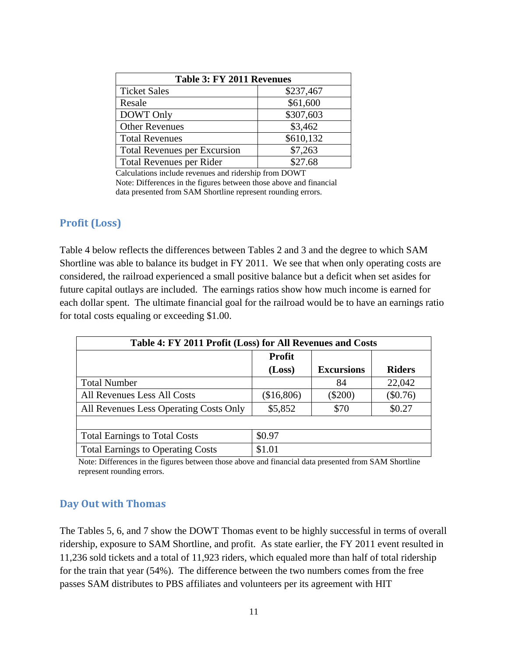| Table 3: FY 2011 Revenues           |           |  |
|-------------------------------------|-----------|--|
| <b>Ticket Sales</b>                 | \$237,467 |  |
| Resale                              | \$61,600  |  |
| DOWT Only                           | \$307,603 |  |
| <b>Other Revenues</b>               | \$3,462   |  |
| <b>Total Revenues</b>               | \$610,132 |  |
| <b>Total Revenues per Excursion</b> | \$7,263   |  |
| <b>Total Revenues per Rider</b>     | \$27.68   |  |

Calculations include revenues and ridership from DOWT Note: Differences in the figures between those above and financial data presented from SAM Shortline represent rounding errors.

## **Profit (Loss)**

Table 4 below reflects the differences between Tables 2 and 3 and the degree to which SAM Shortline was able to balance its budget in FY 2011. We see that when only operating costs are considered, the railroad experienced a small positive balance but a deficit when set asides for future capital outlays are included. The earnings ratios show how much income is earned for each dollar spent. The ultimate financial goal for the railroad would be to have an earnings ratio for total costs equaling or exceeding \$1.00.

| Table 4: FY 2011 Profit (Loss) for All Revenues and Costs |               |                   |               |
|-----------------------------------------------------------|---------------|-------------------|---------------|
|                                                           | <b>Profit</b> |                   |               |
|                                                           | (Loss)        | <b>Excursions</b> | <b>Riders</b> |
| <b>Total Number</b>                                       |               | 84                | 22,042        |
| All Revenues Less All Costs                               | (\$16,806)    | $(\$200)$         | (\$0.76)      |
| All Revenues Less Operating Costs Only                    | \$5,852       | \$70              | \$0.27        |
|                                                           |               |                   |               |
| <b>Total Earnings to Total Costs</b>                      | \$0.97        |                   |               |
| <b>Total Earnings to Operating Costs</b>                  | \$1.01        |                   |               |

Note: Differences in the figures between those above and financial data presented from SAM Shortline represent rounding errors.

### **Day Out with Thomas**

The Tables 5, 6, and 7 show the DOWT Thomas event to be highly successful in terms of overall ridership, exposure to SAM Shortline, and profit. As state earlier, the FY 2011 event resulted in 11,236 sold tickets and a total of 11,923 riders, which equaled more than half of total ridership for the train that year (54%). The difference between the two numbers comes from the free passes SAM distributes to PBS affiliates and volunteers per its agreement with HIT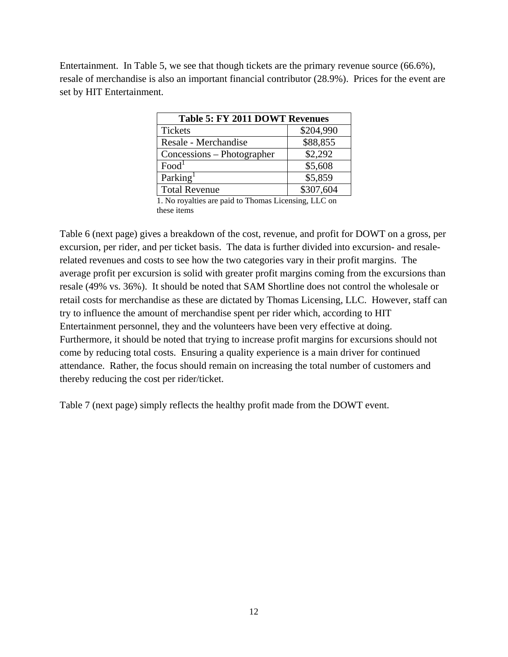Entertainment. In Table 5, we see that though tickets are the primary revenue source (66.6%), resale of merchandise is also an important financial contributor (28.9%). Prices for the event are set by HIT Entertainment.

| <b>Table 5: FY 2011 DOWT Revenues</b> |           |  |
|---------------------------------------|-----------|--|
| <b>Tickets</b>                        | \$204,990 |  |
| Resale - Merchandise                  | \$88,855  |  |
| Concessions – Photographer            | \$2,292   |  |
| Food <sup>1</sup>                     | \$5,608   |  |
| Parking <sup>1</sup>                  | \$5,859   |  |
| <b>Total Revenue</b>                  | \$307,604 |  |

1. No royalties are paid to Thomas Licensing, LLC on these items

Table 6 (next page) gives a breakdown of the cost, revenue, and profit for DOWT on a gross, per excursion, per rider, and per ticket basis. The data is further divided into excursion- and resalerelated revenues and costs to see how the two categories vary in their profit margins. The average profit per excursion is solid with greater profit margins coming from the excursions than resale (49% vs. 36%). It should be noted that SAM Shortline does not control the wholesale or retail costs for merchandise as these are dictated by Thomas Licensing, LLC. However, staff can try to influence the amount of merchandise spent per rider which, according to HIT Entertainment personnel, they and the volunteers have been very effective at doing. Furthermore, it should be noted that trying to increase profit margins for excursions should not come by reducing total costs. Ensuring a quality experience is a main driver for continued attendance. Rather, the focus should remain on increasing the total number of customers and thereby reducing the cost per rider/ticket.

Table 7 (next page) simply reflects the healthy profit made from the DOWT event.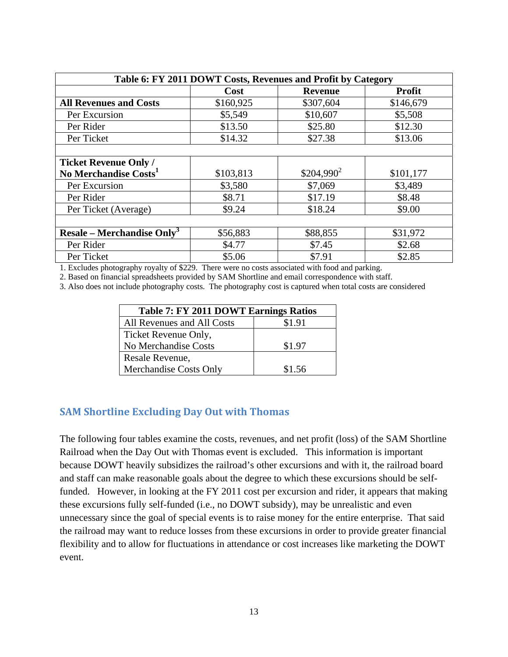| Table 6: FY 2011 DOWT Costs, Revenues and Profit by Category |             |                |               |  |
|--------------------------------------------------------------|-------------|----------------|---------------|--|
|                                                              | <b>Cost</b> | <b>Revenue</b> | <b>Profit</b> |  |
| <b>All Revenues and Costs</b>                                | \$160,925   | \$307,604      | \$146,679     |  |
| Per Excursion                                                | \$5,549     | \$10,607       | \$5,508       |  |
| Per Rider                                                    | \$13.50     | \$25.80        | \$12.30       |  |
| Per Ticket                                                   | \$14.32     | \$27.38        | \$13.06       |  |
|                                                              |             |                |               |  |
| <b>Ticket Revenue Only /</b>                                 |             |                |               |  |
| No Merchandise Costs <sup>1</sup>                            | \$103,813   | $$204,990^2$   | \$101,177     |  |
| Per Excursion                                                | \$3,580     | \$7,069        | \$3,489       |  |
| Per Rider                                                    | \$8.71      | \$17.19        | \$8.48        |  |
| Per Ticket (Average)                                         | \$9.24      | \$18.24        | \$9.00        |  |
|                                                              |             |                |               |  |
| Resale – Merchandise Only <sup>3</sup>                       | \$56,883    | \$88,855       | \$31,972      |  |
| Per Rider                                                    | \$4.77      | \$7.45         | \$2.68        |  |
| Per Ticket                                                   | \$5.06      | \$7.91         | \$2.85        |  |

1. Excludes photography royalty of \$229. There were no costs associated with food and parking.

2. Based on financial spreadsheets provided by SAM Shortline and email correspondence with staff.

3. Also does not include photography costs. The photography cost is captured when total costs are considered

| Table 7: FY 2011 DOWT Earnings Ratios |        |  |
|---------------------------------------|--------|--|
| All Revenues and All Costs            | \$1.91 |  |
| Ticket Revenue Only,                  |        |  |
| No Merchandise Costs                  | \$1.97 |  |
| Resale Revenue,                       |        |  |
| Merchandise Costs Only                | \$1.56 |  |

# **SAM Shortline Excluding Day Out with Thomas**

The following four tables examine the costs, revenues, and net profit (loss) of the SAM Shortline Railroad when the Day Out with Thomas event is excluded. This information is important because DOWT heavily subsidizes the railroad's other excursions and with it, the railroad board and staff can make reasonable goals about the degree to which these excursions should be selffunded. However, in looking at the FY 2011 cost per excursion and rider, it appears that making these excursions fully self-funded (i.e., no DOWT subsidy), may be unrealistic and even unnecessary since the goal of special events is to raise money for the entire enterprise. That said the railroad may want to reduce losses from these excursions in order to provide greater financial flexibility and to allow for fluctuations in attendance or cost increases like marketing the DOWT event.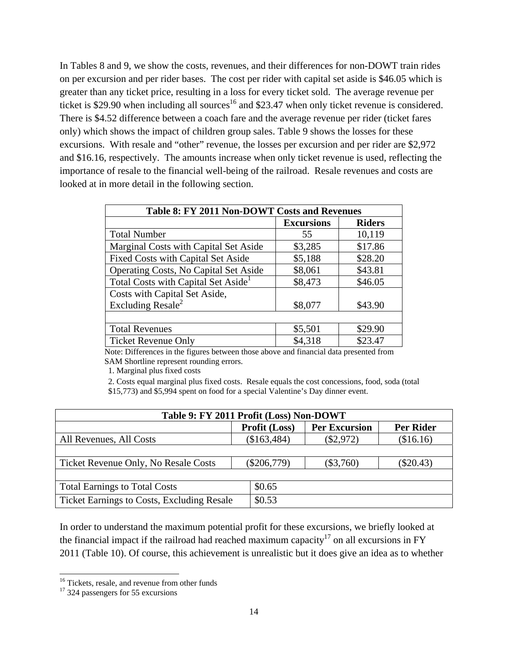In Tables 8 and 9, we show the costs, revenues, and their differences for non-DOWT train rides on per excursion and per rider bases. The cost per rider with capital set aside is \$46.05 which is greater than any ticket price, resulting in a loss for every ticket sold. The average revenue per ticket is \$29.90 when including all sources<sup>16</sup> and \$23.47 when only ticket revenue is considered. There is \$4.52 difference between a coach fare and the average revenue per rider (ticket fares only) which shows the impact of children group sales. Table 9 shows the losses for these excursions. With resale and "other" revenue, the losses per excursion and per rider are \$2,972 and \$16.16, respectively. The amounts increase when only ticket revenue is used, reflecting the importance of resale to the financial well-being of the railroad. Resale revenues and costs are looked at in more detail in the following section.

| Table 8: FY 2011 Non-DOWT Costs and Revenues    |                   |               |  |
|-------------------------------------------------|-------------------|---------------|--|
|                                                 | <b>Excursions</b> | <b>Riders</b> |  |
| <b>Total Number</b>                             | 55                | 10,119        |  |
| Marginal Costs with Capital Set Aside           | \$3,285           | \$17.86       |  |
| <b>Fixed Costs with Capital Set Aside</b>       | \$5,188           | \$28.20       |  |
| Operating Costs, No Capital Set Aside           | \$8,061           | \$43.81       |  |
| Total Costs with Capital Set Aside <sup>1</sup> | \$8,473           | \$46.05       |  |
| Costs with Capital Set Aside,                   |                   |               |  |
| Excluding Resale <sup>2</sup>                   | \$8,077           | \$43.90       |  |
|                                                 |                   |               |  |
| <b>Total Revenues</b>                           | \$5,501           | \$29.90       |  |
| <b>Ticket Revenue Only</b>                      | \$4,318           | \$23.47       |  |

Note: Differences in the figures between those above and financial data presented from SAM Shortline represent rounding errors.

1. Marginal plus fixed costs

2. Costs equal marginal plus fixed costs. Resale equals the cost concessions, food, soda (total \$15,773) and \$5,994 spent on food for a special Valentine's Day dinner event.

| Table 9: FY 2011 Profit (Loss) Non-DOWT           |               |                      |             |
|---------------------------------------------------|---------------|----------------------|-------------|
|                                                   | Profit (Loss) | <b>Per Excursion</b> | Per Rider   |
| All Revenues, All Costs                           | (\$163,484)   | $(\$2,972)$          | (\$16.16)   |
|                                                   |               |                      |             |
| Ticket Revenue Only, No Resale Costs              | $(\$206,779)$ | $(\$3,760)$          | $(\$20.43)$ |
|                                                   |               |                      |             |
| <b>Total Earnings to Total Costs</b>              | \$0.65        |                      |             |
| <b>Ticket Earnings to Costs, Excluding Resale</b> | \$0.53        |                      |             |

In order to understand the maximum potential profit for these excursions, we briefly looked at the financial impact if the railroad had reached maximum capacity<sup>17</sup> on all excursions in FY 2011 (Table 10). Of course, this achievement is unrealistic but it does give an idea as to whether

<sup>&</sup>lt;sup>16</sup> Tickets, resale, and revenue from other funds

 $17$  324 passengers for 55 excursions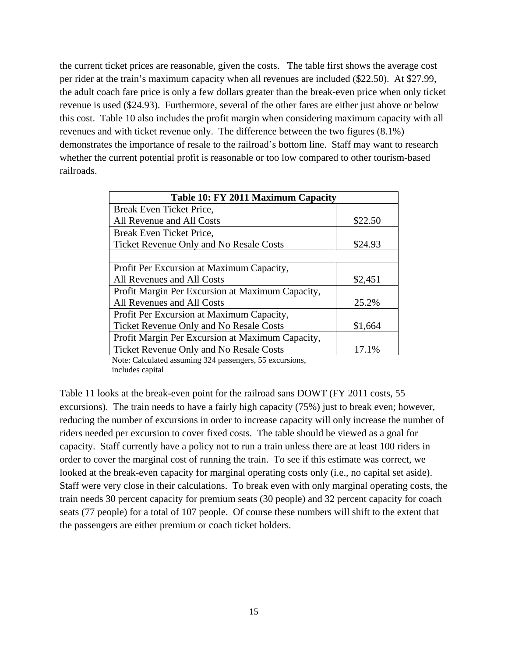the current ticket prices are reasonable, given the costs. The table first shows the average cost per rider at the train's maximum capacity when all revenues are included (\$22.50). At \$27.99, the adult coach fare price is only a few dollars greater than the break-even price when only ticket revenue is used (\$24.93). Furthermore, several of the other fares are either just above or below this cost. Table 10 also includes the profit margin when considering maximum capacity with all revenues and with ticket revenue only. The difference between the two figures (8.1%) demonstrates the importance of resale to the railroad's bottom line. Staff may want to research whether the current potential profit is reasonable or too low compared to other tourism-based railroads.

| Table 10: FY 2011 Maximum Capacity               |         |  |
|--------------------------------------------------|---------|--|
| Break Even Ticket Price,                         |         |  |
| All Revenue and All Costs                        | \$22.50 |  |
| Break Even Ticket Price,                         |         |  |
| <b>Ticket Revenue Only and No Resale Costs</b>   | \$24.93 |  |
|                                                  |         |  |
| Profit Per Excursion at Maximum Capacity,        |         |  |
| All Revenues and All Costs                       | \$2,451 |  |
| Profit Margin Per Excursion at Maximum Capacity, |         |  |
| All Revenues and All Costs                       | 25.2%   |  |
| Profit Per Excursion at Maximum Capacity,        |         |  |
| Ticket Revenue Only and No Resale Costs          | \$1,664 |  |
| Profit Margin Per Excursion at Maximum Capacity, |         |  |
| <b>Ticket Revenue Only and No Resale Costs</b>   | 17.1%   |  |

Note: Calculated assuming 324 passengers, 55 excursions, includes capital

Table 11 looks at the break-even point for the railroad sans DOWT (FY 2011 costs, 55 excursions). The train needs to have a fairly high capacity (75%) just to break even; however, reducing the number of excursions in order to increase capacity will only increase the number of riders needed per excursion to cover fixed costs. The table should be viewed as a goal for capacity. Staff currently have a policy not to run a train unless there are at least 100 riders in order to cover the marginal cost of running the train. To see if this estimate was correct, we looked at the break-even capacity for marginal operating costs only (i.e., no capital set aside). Staff were very close in their calculations. To break even with only marginal operating costs, the train needs 30 percent capacity for premium seats (30 people) and 32 percent capacity for coach seats (77 people) for a total of 107 people. Of course these numbers will shift to the extent that the passengers are either premium or coach ticket holders.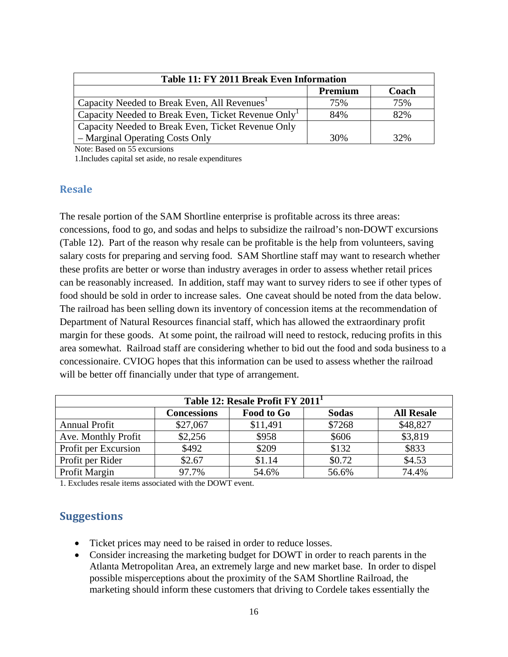| Table 11: FY 2011 Break Even Information                 |         |       |  |
|----------------------------------------------------------|---------|-------|--|
|                                                          | Premium | Coach |  |
| Capacity Needed to Break Even, All Revenues <sup>1</sup> | 75%     | 75%   |  |
| Capacity Needed to Break Even, Ticket Revenue Only       | 84%     | 82%   |  |
| Capacity Needed to Break Even, Ticket Revenue Only       |         |       |  |
| - Marginal Operating Costs Only                          | 30%     | 32%   |  |

Note: Based on 55 excursions

1.Includes capital set aside, no resale expenditures

#### **Resale**

The resale portion of the SAM Shortline enterprise is profitable across its three areas: concessions, food to go, and sodas and helps to subsidize the railroad's non-DOWT excursions (Table 12). Part of the reason why resale can be profitable is the help from volunteers, saving salary costs for preparing and serving food. SAM Shortline staff may want to research whether these profits are better or worse than industry averages in order to assess whether retail prices can be reasonably increased. In addition, staff may want to survey riders to see if other types of food should be sold in order to increase sales. One caveat should be noted from the data below. The railroad has been selling down its inventory of concession items at the recommendation of Department of Natural Resources financial staff, which has allowed the extraordinary profit margin for these goods. At some point, the railroad will need to restock, reducing profits in this area somewhat. Railroad staff are considering whether to bid out the food and soda business to a concessionaire. CVIOG hopes that this information can be used to assess whether the railroad will be better off financially under that type of arrangement.

| Table 12: Resale Profit FY 2011 <sup>1</sup> |                    |                   |              |                   |
|----------------------------------------------|--------------------|-------------------|--------------|-------------------|
|                                              | <b>Concessions</b> | <b>Food to Go</b> | <b>Sodas</b> | <b>All Resale</b> |
| <b>Annual Profit</b>                         | \$27,067           | \$11,491          | \$7268       | \$48,827          |
| Ave. Monthly Profit                          | \$2,256            | \$958             | \$606        | \$3,819           |
| Profit per Excursion                         | \$492              | \$209             | \$132        | \$833             |
| Profit per Rider                             | \$2.67             | \$1.14            | \$0.72       | \$4.53            |
| Profit Margin                                | 97.7%              | 54.6%             | 56.6%        | 74.4%             |

1. Excludes resale items associated with the DOWT event.

# **Suggestions**

- Ticket prices may need to be raised in order to reduce losses.
- Consider increasing the marketing budget for DOWT in order to reach parents in the Atlanta Metropolitan Area, an extremely large and new market base. In order to dispel possible misperceptions about the proximity of the SAM Shortline Railroad, the marketing should inform these customers that driving to Cordele takes essentially the